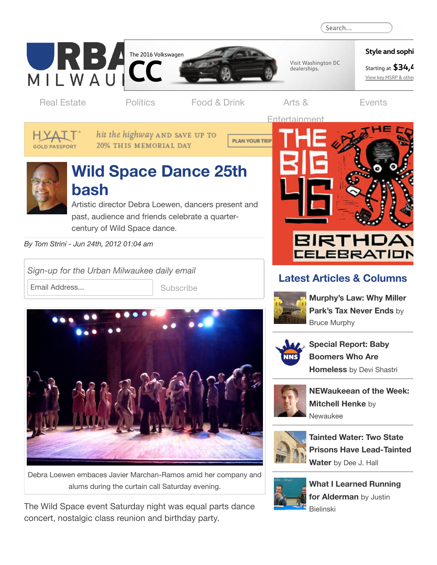

## **Latest Articles & Columns**



**[Murphy's](http://urbanmilwaukee.com/2016/04/12/murphys-law-why-miller-parks-tax-never-ends/) Law: Why Miller Park's Tax Never Ends** by Bruce Murphy



**Special Report: Baby Boomers Who Are [Homeless](http://urbanmilwaukee.com/2016/04/12/special-report-baby-boomers-who-are-homeless/)** by Devi Shastri



**[NEWaukeean](http://urbanmilwaukee.com/2016/04/11/newaukeean-of-the-week-mitchell-henke/) of the Week: Mitchell Henke** by Newaukee



**Tainted Water: Two State Prisons Have [Lead-Tainted](http://urbanmilwaukee.com/2016/04/11/tainted-water-two-state-prisons-have-lead-tainted-water/) Water** by Dee J. Hall



**What I Learned Running for [Alderman](http://urbanmilwaukee.com/2016/04/11/what-i-learned-running-for-alderman/)** by Justin Bielinski

*Sign-up for the Urban Milwaukee daily email*

Email Address... Subscribe



Debra Loewen embaces Javier Marchan-Ramos amid her company and alums during the curtain call Saturday evening.

The Wild Space event Saturday night was equal parts dance concert, nostalgic class reunion and birthday party.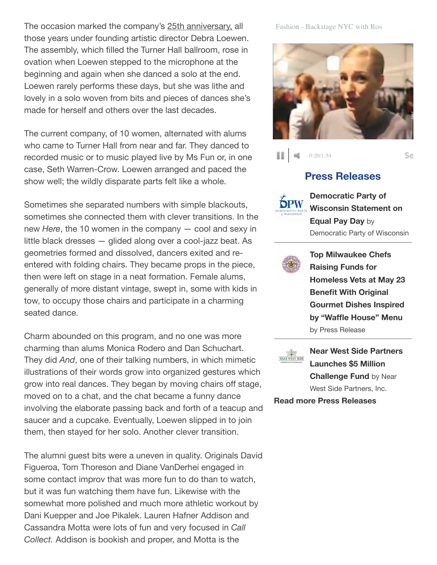The occasion marked the company's 25th [anniversary,](http://urbanmilwaukeedial.com/2012/06/wild-space-25th-alums-dance-at-turner-hall/) all those years under founding artistic director Debra Loewen. The assembly, which filled the Turner Hall ballroom, rose in ovation when Loewen stepped to the microphone at the beginning and again when she danced a solo at the end. Loewen rarely performs these days, but she was lithe and lovely in a solo woven from bits and pieces of dances she's made for herself and others over the last decades.

The current company, of 10 women, alternated with alums who came to Turner Hall from near and far. They danced to recorded music or to music played live by Ms Fun or, in one case, Seth Warren-Crow. Loewen arranged and paced the show well; the wildly disparate parts felt like a whole.

Sometimes she separated numbers with simple blackouts, sometimes she connected them with clever transitions. In the new *Here*, the 10 women in the company — cool and sexy in little black dresses — glided along over a cool-jazz beat. As geometries formed and dissolved, dancers exited and reentered with folding chairs. They became props in the piece, then were left on stage in a neat formation. Female alums, generally of more distant vintage, swept in, some with kids in tow, to occupy those chairs and participate in a charming seated dance.

Charm abounded on this program, and no one was more charming than alums Monica Rodero and Dan Schuchart. They did *And*, one of their talking numbers, in which mimetic illustrations of their words grow into organized gestures which grow into real dances. They began by moving chairs off stage, moved on to a chat, and the chat became a funny dance involving the elaborate passing back and forth of a teacup and saucer and a cupcake. Eventually, Loewen slipped in to join them, then stayed for her solo. Another clever transition.

The alumni guest bits were a uneven in quality. Originals David Figueroa, Tom Thoreson and Diane VanDerhei engaged in some contact improv that was more fun to do than to watch, but it was fun watching them have fun. Likewise with the somewhat more polished and much more athletic workout by Dani Kuepper and Joe Pikalek. Lauren Hafner Addison and Cassandra Motta were lots of fun and very focused in *Call Collect.* Addison is bookish and proper, and Motta is the

## Fashion - Backstage NYC with Ros



0:20/1:54 88. **A** 

Se

## **Press [Releases](http://urbanmilwaukee.com/pressrelease/)**



**[Democratic](http://urbanmilwaukee.com/pressrelease/democratic-party-of-wisconsin-statement-on-equal-pay-day/) Party of Wisconsin Statement on Equal Pay Day** by Democratic Party of Wisconsin



**Top [Milwaukee](http://urbanmilwaukee.com/pressrelease/top-milwaukee-chefs-raising-funds-for-homeless-vets-at-may-23-benefit-with-original-gourmet-dishes-inspired-by-waffle-house-menu/) Chefs Raising Funds for Homeless Vets at May 23 Benefit With Original Gourmet Dishes Inspired by "Waffle House" Menu** by Press Release



**Near West Side Partners Launches \$5 Million [Challenge](http://urbanmilwaukee.com/pressrelease/near-west-side-partners-launches-5-million-challenge-fund/) Fund** by Near West Side Partners, Inc.

**Read more Press [Releases](http://urbanmilwaukee.com/pressrelease/)**